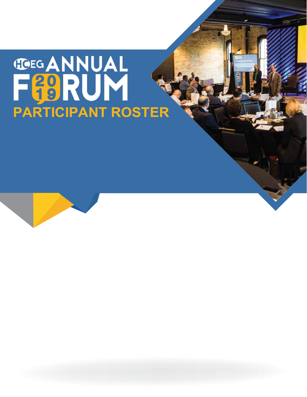# **THE ANNUAL FIRST RUN ROSTER**

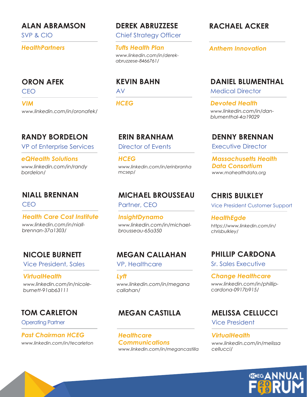#### **ALAN ABRAMSON**

SVP & CIO

*HealthPartners*

#### **ORON AFEK**

CEO

*VIM www.linkedin.com/in/oronafek/*

# **RANDY BORDELON**

VP of Enterprise Services

*eQHealth Solutions www.linkedin.com/in/randy bordelon/*

# **NIALL BRENNAN**

CEO

*Health Care Cost Institute www.linkedin.com/in/niallbrennan-37a1303/*

# **NICOLE BURNETT**

Vice President, Sales

*VirtualHealth www.linkedin.com/in/nicoleburnett-91ab63111*

# **TOM CARLETON**

Operating Partner

*Past Chairman HCEG www.linkedin.com/in/tecarleton*

## **DEREK ABRUZZESE**

Chief Strategy Officer

*Tufts Health Plan www.linkedin.com/in/derekabruzzese-8466761/*

#### **KEVIN BAHN**

AV

*HCEG*

## **ERIN BRANHAM**

Director of Events

*HCEG www.linkedin.com/in/erinbranha mcsep/*

# **MICHAEL BROUSSEAU**

Partner, CEO

*www.linkedin.com/in/michaelbrousseau-65a350 InsightDynamo*

# **MEGAN CALLAHAN**

VP, Healthcare

*Lyft www.linkedin.com/in/megana callahan/*

# **MEGAN CASTILLA**

*www.linkedin.com/in/megancastilla Healthcare Communications*

# **RACHAEL ACKER**

*Anthem Innovation*

## **DANIEL BLUMENTHAL**

Medical Director

*Devoted Health www.linkedin.com/in/danblumenthal-4a19029*

#### **DENNY BRENNAN**

Executive Director

*Massachusetts Health Data Consortium www.mahealthdata.org*

## **CHRIS BULKLEY**

Vice President Customer Support

*HealthEgde https://www.linkedin.com/in/ chrisbulkley/*

# **PHILLIP CARDONA**

Sr. Sales Executive

*Change Healthcare www.linkedin.com/in/phillipcardona-0917b915/*

# **MELISSA CELLUCCI**

Vice President

#### *VirtualHealth*

*www.linkedin.com/in/melissa cellucci/*

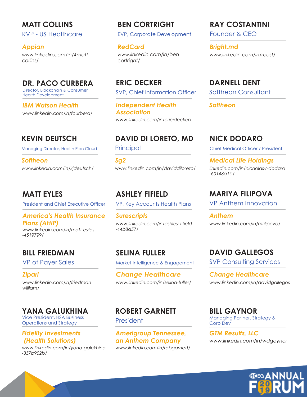**MATT COLLINS** RVP - US Healthcare

*Appian www.linkedin.com/in/4matt collins/*

# **DR. PACO CURBERA**

Director, Blockchain & Consumer Health Development

*IBM Watson Health www.linkedin.com/in/fcurbera/*

# **KEVIN DEUTSCH**

Managing Director, Health Plan Cloud

*Softheon www.linkedin.com/in/kjdeutsch/*

## **MATT EYLES**

President and Chief Executive Officer

#### *America's Health Insurance Plans (AHIP)*

*www.linkedin.com/in/matt-eyles -4519799/*

# **BILL FRIEDMAN**

VP of Payer Sales

*Zipari www.linkedin.com/in/friedman william/*

#### **YANA GALUKHINA**

Vice President, HSA Business Operations and Strategy

#### *Fidelity Investments (Health Solutions)*

*www.linkedin.com/in/yana-galukhina -357b902b/*

# **BEN CORTRIGHT**

EVP, Corporate Development

*RedCard www.linkedin.com/in/ben cortright/*

SVP, Chief Information Officer **ERIC DECKER**

*Independent Health Association www.linkedin.com/in/ericjdecker/*

# **DAVID DI LORETO, MD**

Principal

*Sg2 www.linkedin.com/in/daviddiloreto/*

# **ASHLEY FIFIELD**

VP, Key Accounts Health Plans

*Surescripts www.linkedin.com/in/ashley-fifield -44b8a57/*

**SELINA FULLER** Market Intelligence & Engagement

*Change Healthcare www.linkedin.com/in/selina-fuller/*

# **ROBERT GARNETT**

President

*Amerigroup Tennessee, an Anthem Company www.linkedin.com/in/robgarnett/*

## **RAY COSTANTINI**

Founder & CEO

*Bright.md www.linkedin.com/in/rcost/*

Softheon Consultant **DARNELL DENT**

*Softheon*

# **NICK DODARO**

Chief Medical Officer / President

*Medical Life Holdings linkedin.com/in/nicholas-r-dodaro -60148a1b/*

# **MARIYA FILIPOVA**

VP Anthem Innovation

*Anthem www.linkedin.com/in/mfilipova/*

**DAVID GALLEGOS**

**SVP Consulting Services** 

*Change Healthcare www.linkedin.com/in/davidgallegos*

Managing Partner, Strategy & Corp Dev **BILL GAYNOR**

*www.linkedin.com/in/wdgaynor GTM Results, LLC*

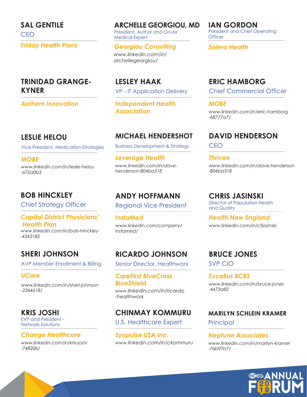CEO **SAL GENTILE** *Friday Health Plans*

#### **TRINIDAD GRANGE-KYNER**

*Anthem Innovation*

#### **LESLIE HELOU**

*www.linkedin.com/in/leslie-helou -672a0b3 MOBE*

#### **BOB HINCKLEY**

Chief Strategy Officer

#### *Capital District Physicians' Health Plan*

*www.linkedin.com/in/bob-hinckley -4243182*

# **SHERI JOHNSON**

AVP Member Enrollment & Billing

#### *UCare*

*www.linkedin.com/in/sheri-johnson -2264618/*

#### **KRIS JOSHI**

EVP and President - Network Solutions

#### *Change Healthcare*

*www.linkedin.com/in/kris-joshi -748206/*

**ARCHELLE GEORGIOU, MD**

President, Author and On-Air Medical Expert

#### *Georgiou Consulting*

*www.linkedin.com/in/ archellegeorgiou/*

VP - IT Application Delivery **LESLEY HAAK**

*Independent Health*

## **MICHAEL HENDERSHOT**

Business Development & Strategy Vice President, Medication Strategies Business Development & Strategy CEO

> *Leverage Health www.linkedin.com/in/davehenderson-804ba318*

# **ANDY HOFFMANN**

Regional Vice President

*InstaMed www.linkedin.com/company/ instamed/*

# **RICARDO JOHNSON**

Senior Director, Healthworx

*CareFirst BlueCross BlueShield www.linkedin.com/in/ricardo -healthworx*

# **CHINMAY KOMMURU**

U.S. Healthcare Expert

*Synpulse USA Inc. www.linkedin.com/in/ckommuru* President and Chief Operating **Officer IAN GORDON**

*Solera Health*

#### **ERIC HAMBORG**

Chief Commercial Officer

*MOBE*

*Association www.linkedin.com/in/eric-hamborg -68777a7/*

# **DAVID HENDERSON**

*Thrivee www.linkedin.com/in/dave-henderson -804ba318*

#### **CHRIS JASINSKI**

Director of Population Health and Quality

*Health New England www.linkedin.com/in/cfjasinski*

# **BRUCE JONES**

SVP CIO

*Excellus BCBS www.linkedin.com/in/bruce-jones -4473a82*

#### **MARILYN SCHLEIN KRAMER**

**Principal** 

#### *Neptune Associates*

*www.linkedin.com/in/marilyn-kramer -76b97b7/*

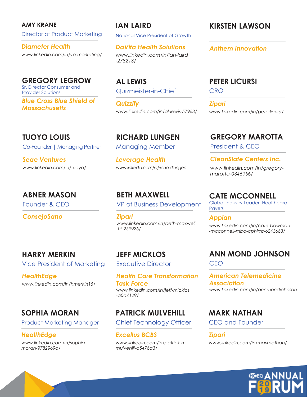**AMY KRANE** Director of Product Marketing

*Diameter Health www.linkedin.com/in/vp-marketing/*

Sr. Director Consumer and Provider Solutions **GREGORY LEGROW**

*Blue Cross Blue Shield of Massachusetts*

#### **TUOYO LOUIS**

Co-Founder | Managing Partner

*Seae Ventures www.linkedin.com/in/tuoyo/*

# **ABNER MASON**

Founder & CEO

*ConsejoSano*

**HARRY MERKIN** Vice President of Marketing

*HealthEdge www.linkedin.com/in/hmerkin15/*

# **SOPHIA MORAN**

Product Marketing Manager

*HealthEdge*

*www.linkedin.com/in/sophiamoran-9782969a/*

# **IAN LAIRD**

National Vice President of Growth

*DaVita Health Solutions www.linkedin.com/in/ian-laird -278213/*

Quizmeister-in-Chief **AL LEWIS**

*Quizzify www.linkedin.com/in/al-lewis-57963/*

Managing Member **RICHARD LUNGEN**

*Leverage Health www.linkedin.com/in/richardlungen*

**BETH MAXWELL** VP of Business Development

*Zipari www.linkedin.com/in/beth-maxwell -0b259925/*

**JEFF MICKLOS** Executive Director

*Health Care Transformation Task Force www.linkedin.com/in/jeff-micklos -a0a4129/*

# **PATRICK MULVEHILL**

Chief Technology Officer

*Excellus BCBS www.linkedin.com/in/patrick-mmulvehill-a5476a3/*

## **KIRSTEN LAWSON**

*Anthem Innovation*

#### **PETER LICURSI**

**CRO** 

*Zipari www.linkedin.com/in/peterlicursi/*

# **GREGORY MAROTTA**

President & CEO

*CleanSlate Centers Inc. www.linkedin.com/in/gregorymarotta-0346956/*

# **CATE MCCONNELL**

Global Industry Leader, Healthcare **Payers** 

*Appian www.linkedin.com/in/cate-bowman -mcconnell-mba-cphims-6243663/*

#### **ANN MOND JOHNSON** CEO

*American Telemedicine Association www.linkedin.com/in/annmondjohnson*

#### **MARK NATHAN**

CEO and Founder

*Zipari www.linkedin.com/in/marknathan/*

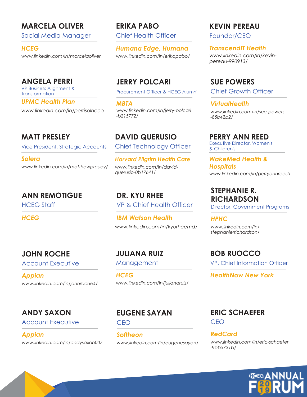## **MARCELA OLIVER**

Social Media Manager

*HCEG www.linkedin.com/in/marcelaoliver*

#### **ANGELA PERRI**

VP Business Alignment & **Transformation** *UPMC Health Plan*

*www.linkedin.com/in/perrisolnceo*

## **MATT PRESLEY**

Vice President, Strategic Accounts

*Solera www.linkedin.com/in/matthewpresley/*

# **ANN REMOTIGUE**

HCEG Staff

*HCEG*

# **JOHN ROCHE**

Account Executive

*Appian www.linkedin.com/in/johnroche4/*

# **ANDY SAXON**

Account Executive

*Appian www.linkedin.com/in/andysaxon007* **ERIKA PABO** Chief Health Officer

*Humana Edge, Humana www.linkedin.com/in/erikapabo/*

# **JERRY POLCARI**

Procurement Officer & HCEG Alumni

*MBTA www.linkedin.com/in/jerry-polcari -b215772/*

Chief Technology Officer **DAVID QUERUSIO**

*Harvard Pilgrim Health Care www.linkedin.com/in/davidquerusio-0b17641/*

VP & Chief Health Officer **DR. KYU RHEE**

*IBM Watson Health www.linkedin.com/in/kyurheemd/*

**JULIANA RUIZ** Management

*HCEG www.linkedin.com/in/julianaruiz/*

**EUGENE SAYAN**

CEO

*Softheon www.linkedin.com/in/eugenesayan/*

# **KEVIN PEREAU**

Founder/CEO

*TranscendIT Health www.linkedin.com/in/kevinpereau-990913/*

**SUE POWERS**

Chief Growth Officer

*VirtualHealth www.linkedin.com/in/sue-powers -85b42b2/*

Executive Director, Women's & Children's **PERRY ANN REED**

*WakeMed Health & Hospitals www.linkedin.com/in/perryannreed/*

#### **STEPHANIE R. RICHARDSON**

Director, Government Programs

*HPHC www.linkedin.com/in/ stephanierrichardson/*

**BOB RUOCCO** VP, Chief Information Officer

*HealthNow New York*

# **ERIC SCHAEFER**

CEO

*RedCard www.linkedin.com/in/eric-schaefer -9bb5731b/*

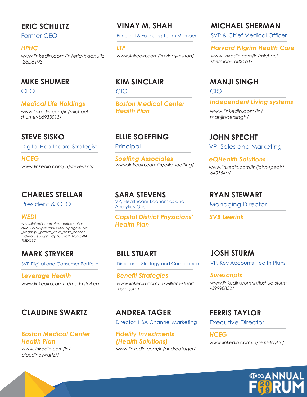## **ERIC SCHULTZ**

Former CEO

#### *HPHC*

*www.linkedin.com/in/eric-h-schultz -26b6193*

#### **MIKE SHUMER**

CEO

#### *Medical Life Holdings*

*www.linkedin.com/in/michaelshumer-b6933013/*

## **STEVE SISKO**

Digital Healthcare Strategist

*HCEG www.linkedin.com/in/stevesisko/*

## **CHARLES STELLAR**

President & CEO

#### *WEDI*

*www.linkedin.com/in/charles-stellara4211226?lipi=urn%3Ali%3Apage%3Ad \_flagship3\_profile\_view\_base\_contac t\_details%3B8gLfFdyDQ5yq2IB93Qa4IA %3D%3D*

# **MARK STRYKER**

SVP Digital and Consumer Portfolio

*Leverage Health www.linkedin.com/in/markkstryker/*

# **CLAUDINE SWARTZ**

#### *Boston Medical Center Health Plan*

*www.linkedin.com/in/ claudineswartz//*

# **VINAY M. SHAH**

Principal & Founding Team Member

*LTP www.linkedin.com/in/vinaymshah/*

# **KIM SINCLAIR**

CIO

*Boston Medical Center Health Plan*

#### **ELLIE SOEFFING**

**Principal** 

*Soeffing Associates www.linkedin.com/in/ellie-soeffing/*

VP, Healthcare Economics and Analytics Ops **SARA STEVENS**

*Capital District Physicians' Health Plan*

# **BILL STUART**

Director of Strategy and Compliance

*Benefit Strategies www.linkedin.com/in/william-stuart -hsa-guru/*

# **ANDREA TAGER**

Director, HSA Channel Marketing

*Fidelity Investments (Health Solutions) www.linkedin.com/in/andreatager/*

# **MICHAEL SHERMAN**

SVP & Chief Medical Officer

#### *Harvard Pilgrim Health Care*

*www.linkedin.com/in/michaelsherman-1a824a1/*

#### **MANJI SINGH**

CIO

*Independent Living systems*

*www.linkedin.com/in/ manjindersingh/*

#### **JOHN SPECHT**

VP, Sales and Marketing

*eQHealth Solutions www.linkedin.com/in/john-specht -640554a/*

#### **RYAN STEWART**

Managing Director

*SVB Leerink*

# **JOSH STURM**

VP, Key Accounts Health Plans

#### *Surescripts*

*www.linkedin.com/in/joshua-sturm -39998832/*

#### **FERRIS TAYLOR**

Executive Director

*HCEG www.linkedin.com/in/ferris-taylor/*